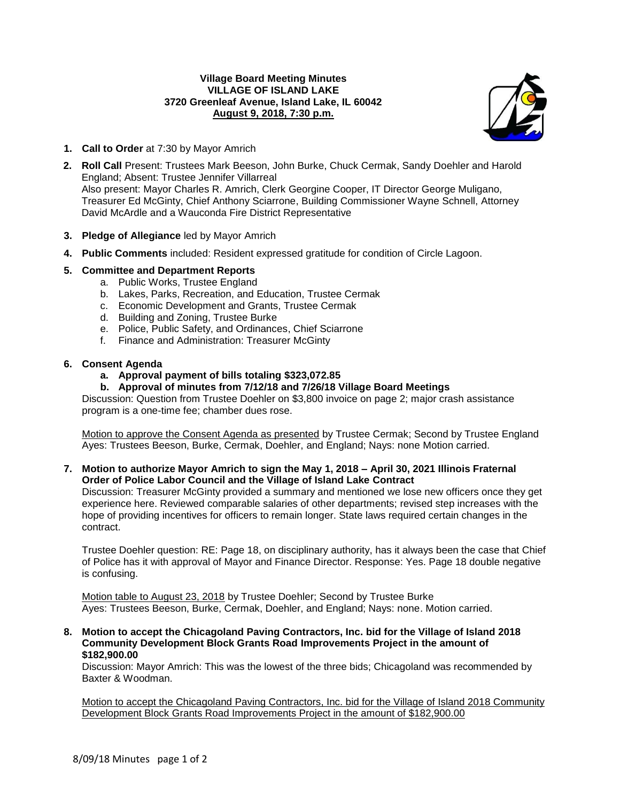## **Village Board Meeting Minutes VILLAGE OF ISLAND LAKE 3720 Greenleaf Avenue, Island Lake, IL 60042 August 9, 2018, 7:30 p.m.**



- **1. Call to Order** at 7:30 by Mayor Amrich
- **2. Roll Call** Present: Trustees Mark Beeson, John Burke, Chuck Cermak, Sandy Doehler and Harold England; Absent: Trustee Jennifer Villarreal Also present: Mayor Charles R. Amrich, Clerk Georgine Cooper, IT Director George Muligano, Treasurer Ed McGinty, Chief Anthony Sciarrone, Building Commissioner Wayne Schnell, Attorney David McArdle and a Wauconda Fire District Representative
- **3. Pledge of Allegiance** led by Mayor Amrich
- **4. Public Comments** included: Resident expressed gratitude for condition of Circle Lagoon.

# **5. Committee and Department Reports**

- a. Public Works, Trustee England
- b. Lakes, Parks, Recreation, and Education, Trustee Cermak
- c. Economic Development and Grants, Trustee Cermak
- d. Building and Zoning, Trustee Burke
- e. Police, Public Safety, and Ordinances, Chief Sciarrone
- f. Finance and Administration: Treasurer McGinty

## **6. Consent Agenda**

**a. Approval payment of bills totaling \$323,072.85**

## **b. Approval of minutes from 7/12/18 and 7/26/18 Village Board Meetings**

Discussion: Question from Trustee Doehler on \$3,800 invoice on page 2; major crash assistance program is a one-time fee; chamber dues rose.

Motion to approve the Consent Agenda as presented by Trustee Cermak; Second by Trustee England Ayes: Trustees Beeson, Burke, Cermak, Doehler, and England; Nays: none Motion carried.

## **7. Motion to authorize Mayor Amrich to sign the May 1, 2018 – April 30, 2021 Illinois Fraternal Order of Police Labor Council and the Village of Island Lake Contract**

Discussion: Treasurer McGinty provided a summary and mentioned we lose new officers once they get experience here. Reviewed comparable salaries of other departments; revised step increases with the hope of providing incentives for officers to remain longer. State laws required certain changes in the contract.

Trustee Doehler question: RE: Page 18, on disciplinary authority, has it always been the case that Chief of Police has it with approval of Mayor and Finance Director. Response: Yes. Page 18 double negative is confusing.

Motion table to August 23, 2018 by Trustee Doehler; Second by Trustee Burke Ayes: Trustees Beeson, Burke, Cermak, Doehler, and England; Nays: none. Motion carried.

**8. Motion to accept the Chicagoland Paving Contractors, Inc. bid for the Village of Island 2018 Community Development Block Grants Road Improvements Project in the amount of \$182,900.00**

Discussion: Mayor Amrich: This was the lowest of the three bids; Chicagoland was recommended by Baxter & Woodman.

Motion to accept the Chicagoland Paving Contractors, Inc. bid for the Village of Island 2018 Community Development Block Grants Road Improvements Project in the amount of \$182,900.00